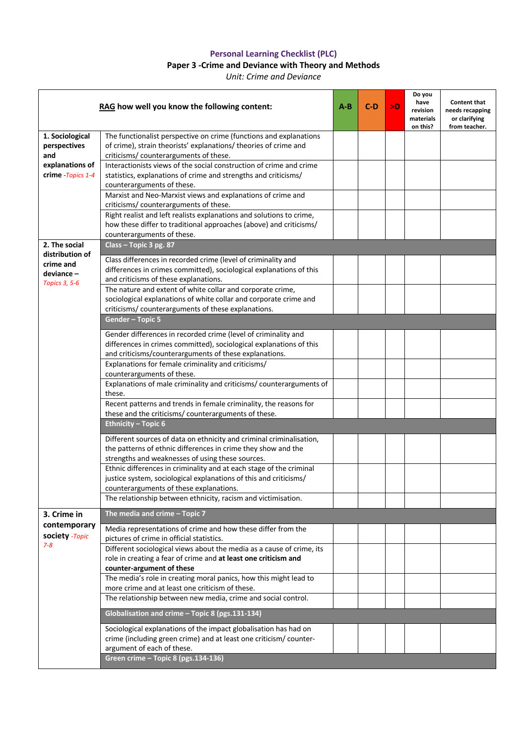## **Personal Learning Checklist (PLC)**

## **Paper 3 -Crime and Deviance with Theory and Methods**

*Unit: Crime and Deviance*

| RAG how well you know the following content:                                    |                                                                                                                                                                                                 | $A - B$ | $C-D$ | >D | Do you<br>have<br>revision<br>materials<br>on this? | <b>Content that</b><br>needs recapping<br>or clarifying<br>from teacher. |
|---------------------------------------------------------------------------------|-------------------------------------------------------------------------------------------------------------------------------------------------------------------------------------------------|---------|-------|----|-----------------------------------------------------|--------------------------------------------------------------------------|
| 1. Sociological<br>perspectives<br>and<br>explanations of<br>crime - Topics 1-4 | The functionalist perspective on crime (functions and explanations<br>of crime), strain theorists' explanations/ theories of crime and<br>criticisms/ counterarguments of these.                |         |       |    |                                                     |                                                                          |
|                                                                                 | Interactionists views of the social construction of crime and crime<br>statistics, explanations of crime and strengths and criticisms/<br>counterarguments of these.                            |         |       |    |                                                     |                                                                          |
|                                                                                 | Marxist and Neo-Marxist views and explanations of crime and<br>criticisms/counterarguments of these.                                                                                            |         |       |    |                                                     |                                                                          |
|                                                                                 | Right realist and left realists explanations and solutions to crime,<br>how these differ to traditional approaches (above) and criticisms/<br>counterarguments of these.                        |         |       |    |                                                     |                                                                          |
| 2. The social                                                                   | Class - Topic 3 pg. 87                                                                                                                                                                          |         |       |    |                                                     |                                                                          |
| distribution of<br>crime and<br>deviance-<br><b>Topics 3, 5-6</b>               | Class differences in recorded crime (level of criminality and<br>differences in crimes committed), sociological explanations of this<br>and criticisms of these explanations.                   |         |       |    |                                                     |                                                                          |
|                                                                                 | The nature and extent of white collar and corporate crime,<br>sociological explanations of white collar and corporate crime and<br>criticisms/counterarguments of these explanations.           |         |       |    |                                                     |                                                                          |
|                                                                                 | <b>Gender - Topic 5</b>                                                                                                                                                                         |         |       |    |                                                     |                                                                          |
|                                                                                 | Gender differences in recorded crime (level of criminality and<br>differences in crimes committed), sociological explanations of this<br>and criticisms/counterarguments of these explanations. |         |       |    |                                                     |                                                                          |
|                                                                                 | Explanations for female criminality and criticisms/<br>counterarguments of these.                                                                                                               |         |       |    |                                                     |                                                                          |
|                                                                                 | Explanations of male criminality and criticisms/ counterarguments of<br>these.                                                                                                                  |         |       |    |                                                     |                                                                          |
|                                                                                 | Recent patterns and trends in female criminality, the reasons for<br>these and the criticisms/ counterarguments of these.                                                                       |         |       |    |                                                     |                                                                          |
|                                                                                 | <b>Ethnicity - Topic 6</b>                                                                                                                                                                      |         |       |    |                                                     |                                                                          |
|                                                                                 | Different sources of data on ethnicity and criminal criminalisation,<br>the patterns of ethnic differences in crime they show and the<br>strengths and weaknesses of using these sources.       |         |       |    |                                                     |                                                                          |
|                                                                                 | Ethnic differences in criminality and at each stage of the criminal<br>justice system, sociological explanations of this and criticisms/<br>counterarguments of these explanations.             |         |       |    |                                                     |                                                                          |
|                                                                                 | The relationship between ethnicity, racism and victimisation.                                                                                                                                   |         |       |    |                                                     |                                                                          |
| 3. Crime in                                                                     | The media and crime - Topic 7                                                                                                                                                                   |         |       |    |                                                     |                                                                          |
| contemporary<br>society -Topic<br>$7 - 8$                                       | Media representations of crime and how these differ from the<br>pictures of crime in official statistics.                                                                                       |         |       |    |                                                     |                                                                          |
|                                                                                 | Different sociological views about the media as a cause of crime, its<br>role in creating a fear of crime and at least one criticism and<br>counter-argument of these                           |         |       |    |                                                     |                                                                          |
|                                                                                 | The media's role in creating moral panics, how this might lead to<br>more crime and at least one criticism of these.                                                                            |         |       |    |                                                     |                                                                          |
|                                                                                 | The relationship between new media, crime and social control.                                                                                                                                   |         |       |    |                                                     |                                                                          |
|                                                                                 | Globalisation and crime - Topic 8 (pgs.131-134)                                                                                                                                                 |         |       |    |                                                     |                                                                          |
|                                                                                 | Sociological explanations of the impact globalisation has had on<br>crime (including green crime) and at least one criticism/ counter-<br>argument of each of these.                            |         |       |    |                                                     |                                                                          |
|                                                                                 | Green crime - Topic 8 (pgs.134-136)                                                                                                                                                             |         |       |    |                                                     |                                                                          |